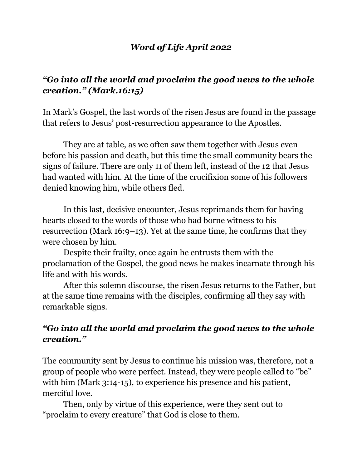#### *Word of Life April 2022*

# *"Go into all the world and proclaim the good news to the whole creation." (Mark.16:15)*

In Mark's Gospel, the last words of the risen Jesus are found in the passage that refers to Jesus' post-resurrection appearance to the Apostles.

They are at table, as we often saw them together with Jesus even before his passion and death, but this time the small community bears the signs of failure. There are only 11 of them left, instead of the 12 that Jesus had wanted with him. At the time of the crucifixion some of his followers denied knowing him, while others fled.

In this last, decisive encounter, Jesus reprimands them for having hearts closed to the words of those who had borne witness to his resurrection (Mark 16:9–13). Yet at the same time, he confirms that they were chosen by him.

Despite their frailty, once again he entrusts them with the proclamation of the Gospel, the good news he makes incarnate through his life and with his words.

After this solemn discourse, the risen Jesus returns to the Father, but at the same time remains with the disciples, confirming all they say with remarkable signs.

### *"Go into all the world and proclaim the good news to the whole creation."*

The community sent by Jesus to continue his mission was, therefore, not a group of people who were perfect. Instead, they were people called to "be" with him (Mark 3:14-15), to experience his presence and his patient, merciful love.

Then, only by virtue of this experience, were they sent out to "proclaim to every creature" that God is close to them.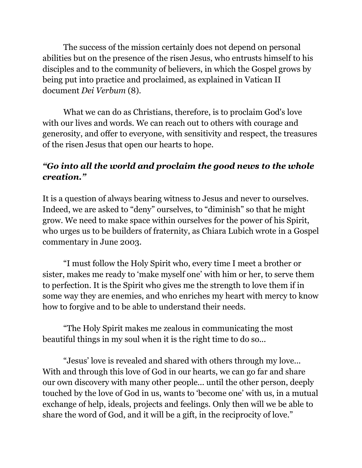The success of the mission certainly does not depend on personal abilities but on the presence of the risen Jesus, who entrusts himself to his disciples and to the community of believers, in which the Gospel grows by being put into practice and proclaimed, as explained in Vatican II document *Dei Verbum* (8).

What we can do as Christians, therefore, is to proclaim God's love with our lives and words. We can reach out to others with courage and generosity, and offer to everyone, with sensitivity and respect, the treasures of the risen Jesus that open our hearts to hope.

### *"Go into all the world and proclaim the good news to the whole creation."*

It is a question of always bearing witness to Jesus and never to ourselves. Indeed, we are asked to "deny" ourselves, to "diminish" so that he might grow. We need to make space within ourselves for the power of his Spirit, who urges us to be builders of fraternity, as Chiara Lubich wrote in a Gospel commentary in June 2003.

"I must follow the Holy Spirit who, every time I meet a brother or sister, makes me ready to 'make myself one' with him or her, to serve them to perfection. It is the Spirit who gives me the strength to love them if in some way they are enemies, and who enriches my heart with mercy to know how to forgive and to be able to understand their needs.

"The Holy Spirit makes me zealous in communicating the most beautiful things in my soul when it is the right time to do so...

"Jesus' love is revealed and shared with others through my love... With and through this love of God in our hearts, we can go far and share our own discovery with many other people... until the other person, deeply touched by the love of God in us, wants to 'become one' with us, in a mutual exchange of help, ideals, projects and feelings. Only then will we be able to share the word of God, and it will be a gift, in the reciprocity of love."